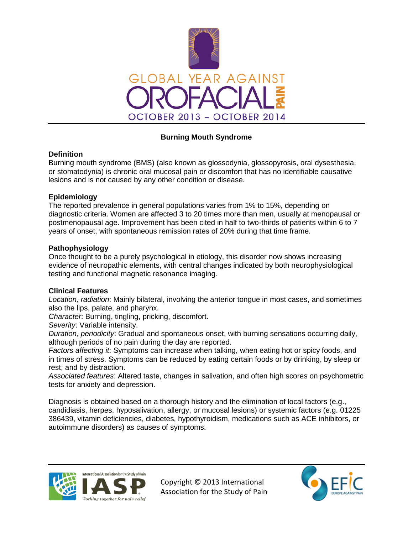

# **Burning Mouth Syndrome**

## **Definition**

Burning mouth syndrome (BMS) (also known as glossodynia, glossopyrosis, oral dysesthesia, or stomatodynia) is chronic oral mucosal pain or discomfort that has no identifiable causative lesions and is not caused by any other condition or disease.

# **Epidemiology**

The reported prevalence in general populations varies from 1% to 15%, depending on diagnostic criteria. Women are affected 3 to 20 times more than men, usually at menopausal or postmenopausal age. Improvement has been cited in half to two-thirds of patients within 6 to 7 years of onset, with spontaneous remission rates of 20% during that time frame.

## **Pathophysiology**

Once thought to be a purely psychological in etiology, this disorder now shows increasing evidence of neuropathic elements, with central changes indicated by both neurophysiological testing and functional magnetic resonance imaging.

## **Clinical Features**

*Location, radiation*: Mainly bilateral, involving the anterior tongue in most cases, and sometimes also the lips, palate, and pharynx.

*Character*: Burning, tingling, pricking, discomfort.

*Severity*: Variable intensity.

*Duration, periodicity*: Gradual and spontaneous onset, with burning sensations occurring daily, although periods of no pain during the day are reported.

*Factors affecting it*: Symptoms can increase when talking, when eating hot or spicy foods, and in times of stress. Symptoms can be reduced by eating certain foods or by drinking, by sleep or rest, and by distraction.

*Associated features*: Altered taste, changes in salivation, and often high scores on psychometric tests for anxiety and depression.

Diagnosis is obtained based on a thorough history and the elimination of local factors (e.g., candidiasis, herpes, hyposalivation, allergy, or mucosal lesions) or systemic factors (e.g. 01225 386439, vitamin deficiencies, diabetes, hypothyroidism, medications such as ACE inhibitors, or autoimmune disorders) as causes of symptoms.



Copyright © 2013 International Association for the Study of Pain